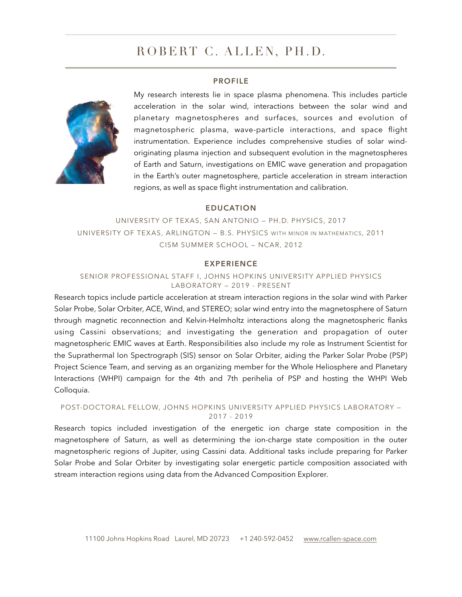# ROBERT C. ALLEN, PH.D.

#### **PROFILE**



My research interests lie in space plasma phenomena. This includes particle acceleration in the solar wind, interactions between the solar wind and planetary magnetospheres and surfaces, sources and evolution of magnetospheric plasma, wave-particle interactions, and space flight instrumentation. Experience includes comprehensive studies of solar windoriginating plasma injection and subsequent evolution in the magnetospheres of Earth and Saturn, investigations on EMIC wave generation and propagation in the Earth's outer magnetosphere, particle acceleration in stream interaction regions, as well as space flight instrumentation and calibration.

#### **EDUCATION**

UNIVERSITY OF TEXAS, SAN ANTONIO — PH.D. PHYSICS, 2017 UNIVERSITY OF TEXAS, ARLINGTON — B.S. PHYSICS WITH MINOR IN MATHEMATICS, 2011 CISM SUMMER SCHOOL — NCAR, 2012

#### **EXPERIENCE**

#### SENIOR PROFESSIONAL STAFF I, JOHNS HOPKINS UNIVERSITY APPLIED PHYSICS LABORATORY — 2019 - PRESENT

Research topics include particle acceleration at stream interaction regions in the solar wind with Parker Solar Probe, Solar Orbiter, ACE, Wind, and STEREO; solar wind entry into the magnetosphere of Saturn through magnetic reconnection and Kelvin-Helmholtz interactions along the magnetospheric flanks using Cassini observations; and investigating the generation and propagation of outer magnetospheric EMIC waves at Earth. Responsibilities also include my role as Instrument Scientist for the Suprathermal Ion Spectrograph (SIS) sensor on Solar Orbiter, aiding the Parker Solar Probe (PSP) Project Science Team, and serving as an organizing member for the Whole Heliosphere and Planetary Interactions (WHPI) campaign for the 4th and 7th perihelia of PSP and hosting the WHPI Web Colloquia.

#### POST-DOCTORAL FELLOW, JOHNS HOPKINS UNIVERSITY APPLIED PHYSICS LABORATORY — 2017 - 2019

Research topics included investigation of the energetic ion charge state composition in the magnetosphere of Saturn, as well as determining the ion-charge state composition in the outer magnetospheric regions of Jupiter, using Cassini data. Additional tasks include preparing for Parker Solar Probe and Solar Orbiter by investigating solar energetic particle composition associated with stream interaction regions using data from the Advanced Composition Explorer.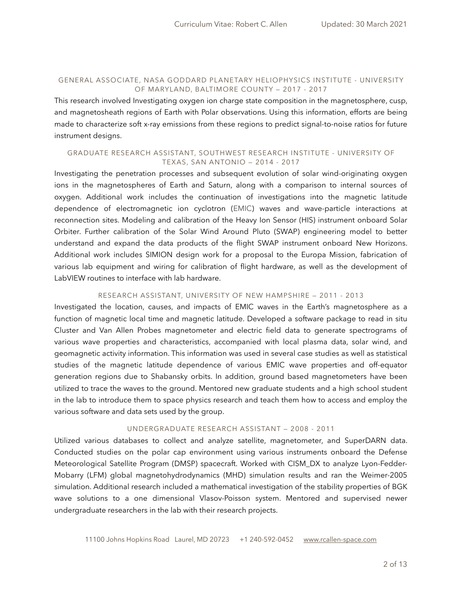#### GENERAL ASSOCIATE, NASA GODDARD PLANETARY HELIOPHYSICS INSTITUTE - UNIVERSITY OF MARYLAND, BALTIMORE COUNTY — 2017 - 2017

This research involved Investigating oxygen ion charge state composition in the magnetosphere, cusp, and magnetosheath regions of Earth with Polar observations. Using this information, efforts are being made to characterize soft x-ray emissions from these regions to predict signal-to-noise ratios for future instrument designs.

#### GRADUATE RESEARCH ASSISTANT, SOUTHWEST RESEARCH INSTITUTE - UNIVERSITY OF TEXAS, SAN ANTONIO — 2014 - 2017

Investigating the penetration processes and subsequent evolution of solar wind-originating oxygen ions in the magnetospheres of Earth and Saturn, along with a comparison to internal sources of oxygen. Additional work includes the continuation of investigations into the magnetic latitude dependence of electromagnetic ion cyclotron (EMIC) waves and wave-particle interactions at reconnection sites. Modeling and calibration of the Heavy Ion Sensor (HIS) instrument onboard Solar Orbiter. Further calibration of the Solar Wind Around Pluto (SWAP) engineering model to better understand and expand the data products of the flight SWAP instrument onboard New Horizons. Additional work includes SIMION design work for a proposal to the Europa Mission, fabrication of various lab equipment and wiring for calibration of flight hardware, as well as the development of LabVIEW routines to interface with lab hardware.

#### RESEARCH ASSISTANT, UNIVERSITY OF NEW HAMPSHIRE — 2011 - 2013

Investigated the location, causes, and impacts of EMIC waves in the Earth's magnetosphere as a function of magnetic local time and magnetic latitude. Developed a software package to read in situ Cluster and Van Allen Probes magnetometer and electric field data to generate spectrograms of various wave properties and characteristics, accompanied with local plasma data, solar wind, and geomagnetic activity information. This information was used in several case studies as well as statistical studies of the magnetic latitude dependence of various EMIC wave properties and off-equator generation regions due to Shabansky orbits. In addition, ground based magnetometers have been utilized to trace the waves to the ground. Mentored new graduate students and a high school student in the lab to introduce them to space physics research and teach them how to access and employ the various software and data sets used by the group.

#### UNDERGRADUATE RESEARCH ASSISTANT — 2008 - 2011

Utilized various databases to collect and analyze satellite, magnetometer, and SuperDARN data. Conducted studies on the polar cap environment using various instruments onboard the Defense Meteorological Satellite Program (DMSP) spacecraft. Worked with CISM\_DX to analyze Lyon-Fedder-Mobarry (LFM) global magnetohydrodynamics (MHD) simulation results and ran the Weimer-2005 simulation. Additional research included a mathematical investigation of the stability properties of BGK wave solutions to a one dimensional Vlasov-Poisson system. Mentored and supervised newer undergraduate researchers in the lab with their research projects.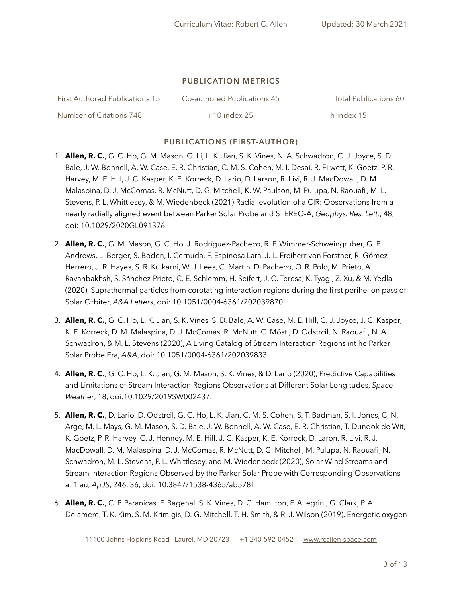#### **PUBLICATION METRICS**

| <b>First Authored Publications 15</b> | Co-authored Publications 45 | Total Publications 60 |
|---------------------------------------|-----------------------------|-----------------------|
| Number of Citations 748               | $i$ -10 index 25            | h-index 15            |

## **PUBLICATIONS (FIRST-AUTHOR)**

- 1. **Allen, R. C.**, G. C. Ho, G. M. Mason, G. Li, L. K. Jian, S. K. Vines, N. A. Schwadron, C. J. Joyce, S. D. Bale, J. W. Bonnell, A. W. Case, E. R. Christian, C. M. S. Cohen, M. I. Desai, R. Filwett, K. Goetz, P. R. Harvey, M. E. Hill, J. C. Kasper, K. E. Korreck, D. Lario, D. Larson, R. Livi, R. J. MacDowall, D. M. Malaspina, D. J. McComas, R. McNutt, D. G. Mitchell, K. W. Paulson, M. Pulupa, N. Raouafi, M. L. Stevens, P. L. Whittlesey, & M. Wiedenbeck (2021) Radial evolution of a CIR: Observations from a nearly radially aligned event between Parker Solar Probe and STEREO-A, *Geophys. Res. Lett.*, 48, doi: 10.1029/2020GL091376.
- 2. **Allen, R. C.**, G. M. Mason, G. C. Ho, J. Rodríguez-Pacheco, R. F. Wimmer-Schweingruber, G. B. Andrews, L. Berger, S. Boden, I. Cernuda, F. Espinosa Lara, J. L. Freiherr von Forstner, R. Gómez-Herrero, J. R. Hayes, S. R. Kulkarni, W. J. Lees, C. Martin, D. Pacheco, O. R. Polo, M. Prieto, A. Ravanbakhsh, S. Sánchez-Prieto, C. E. Schlemm, H. Seifert, J. C. Teresa, K. Tyagi, Z. Xu, & M. Yedla (2020), Suprathermal particles from corotating interaction regions during the first perihelion pass of Solar Orbiter, *A&A Letters*, doi: 10.1051/0004-6361/202039870..
- 3. **Allen, R. C.**, G. C. Ho, L. K. Jian, S. K. Vines, S. D. Bale, A. W. Case, M. E. Hill, C. J. Joyce, J. C. Kasper, K. E. Korreck, D. M. Malaspina, D. J. McComas, R. McNutt, C. Möstl, D. Odstrcil, N. Raouafi, N. A. Schwadron, & M. L. Stevens (2020), A Living Catalog of Stream Interaction Regions int he Parker Solar Probe Era, *A&A*, doi: 10.1051/0004-6361/202039833.
- 4. **Allen, R. C.**, G. C. Ho, L. K. Jian, G. M. Mason, S. K. Vines, & D. Lario (2020), Predictive Capabilities and Limitations of Stream Interaction Regions Observations at Different Solar Longitudes, *Space Weather*, 18, doi:10.1029/2019SW002437.
- 5. **Allen, R. C.**, D. Lario, D. Odstrcil, G. C. Ho, L. K. Jian, C. M. S. Cohen, S. T. Badman, S. I. Jones, C. N. Arge, M. L. Mays, G. M. Mason, S. D. Bale, J. W. Bonnell, A. W. Case, E. R. Christian, T. Dundok de Wit, K. Goetz, P. R. Harvey, C. J. Henney, M. E. Hill, J. C. Kasper, K. E. Korreck, D. Laron, R. Livi, R. J. MacDowall, D. M. Malaspina, D. J. McComas, R. McNutt, D. G. Mitchell, M. Pulupa, N. Raouafi, N. Schwadron, M. L. Stevens, P. L. Whittlesey, and M. Wiedenbeck (2020), Solar Wind Streams and Stream Interaction Regions Observed by the Parker Solar Probe with Corresponding Observations at 1 au, *ApJS*, 246, 36, doi: 10.3847/1538-4365/ab578f.
- 6. **Allen, R. C.**, C. P. Paranicas, F. Bagenal, S. K. Vines, D. C. Hamilton, F. Allegrini, G. Clark, P. A. Delamere, T. K. Kim, S. M. Krimigis, D. G. Mitchell, T. H. Smith, & R. J. Wilson (2019), Energetic oxygen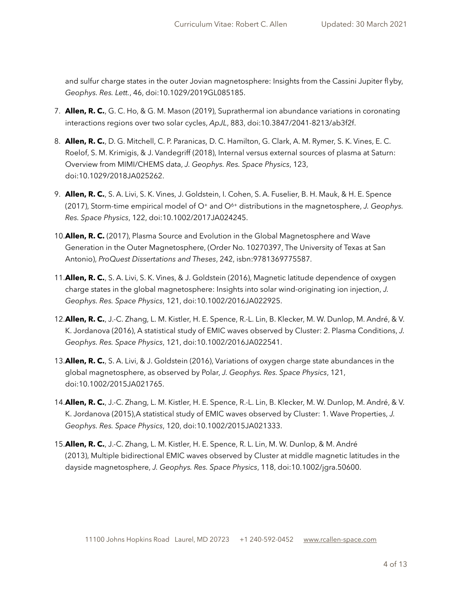and sulfur charge states in the outer Jovian magnetosphere: Insights from the Cassini Jupiter flyby, *Geophys. Res. Lett.*, 46, doi:10.1029/2019GL085185.

- 7. **Allen, R. C.**, G. C. Ho, & G. M. Mason (2019), Suprathermal ion abundance variations in coronating interactions regions over two solar cycles, *ApJL*, 883, doi:10.3847/2041-8213/ab3f2f.
- 8. **Allen, R. C.**, D. G. Mitchell, C. P. Paranicas, D. C. Hamilton, G. Clark, A. M. Rymer, S. K. Vines, E. C. Roelof, S. M. Krimigis, & J. Vandegriff (2018), Internal versus external sources of plasma at Saturn: Overview from MIMI/CHEMS data, *J. Geophys. Res. Space Physics*, 123, doi:10.1029/2018JA025262.
- 9. **Allen, R. C.**, S. A. Livi, S. K. Vines, J. Goldstein, I. Cohen, S. A. Fuselier, B. H. Mauk, & H. E. Spence (2017), Storm-time empirical model of O+ and O6+ distributions in the magnetosphere, *J. Geophys. Res. Space Physics*, 122, doi:10.1002/2017JA024245.
- 10.**Allen, R. C.** (2017), Plasma Source and Evolution in the Global Magnetosphere and Wave Generation in the Outer Magnetosphere, (Order No. 10270397, The University of Texas at San Antonio), *ProQuest Dissertations and Theses*, 242, isbn:9781369775587.
- 11.**Allen, R. C.**, S. A. Livi, S. K. Vines, & J. Goldstein (2016), Magnetic latitude dependence of oxygen charge states in the global magnetosphere: Insights into solar wind-originating ion injection, *J. Geophys. Res. Space Physics*, 121, doi:10.1002/2016JA022925.
- 12.**Allen, R. C.**, J.-C. Zhang, L. M. Kistler, H. E. Spence, R.-L. Lin, B. Klecker, M. W. Dunlop, M. André, & V. K. Jordanova (2016), A statistical study of EMIC waves observed by Cluster: 2. Plasma Conditions, *J. Geophys. Res. Space Physics*, 121, doi:10.1002/2016JA022541.
- 13.**Allen, R. C.**, S. A. Livi, & J. Goldstein (2016), Variations of oxygen charge state abundances in the global magnetosphere, as observed by Polar, *J. Geophys. Res. Space Physics*, 121, doi:10.1002/2015JA021765.
- 14.**Allen, R. C.**, J.-C. Zhang, L. M. Kistler, H. E. Spence, R.-L. Lin, B. Klecker, M. W. Dunlop, M. André, & V. K. Jordanova (2015),A statistical study of EMIC waves observed by Cluster: 1. Wave Properties, *J. Geophys. Res. Space Physics*, 120, doi:10.1002/2015JA021333.
- 15.**Allen, R. C.**, J.-C. Zhang, L. M. Kistler, H. E. Spence, R. L. Lin, M. W. Dunlop, & M. André (2013), Multiple bidirectional EMIC waves observed by Cluster at middle magnetic latitudes in the dayside magnetosphere, *J. Geophys. Res. Space Physics*, 118, doi:10.1002/jgra.50600.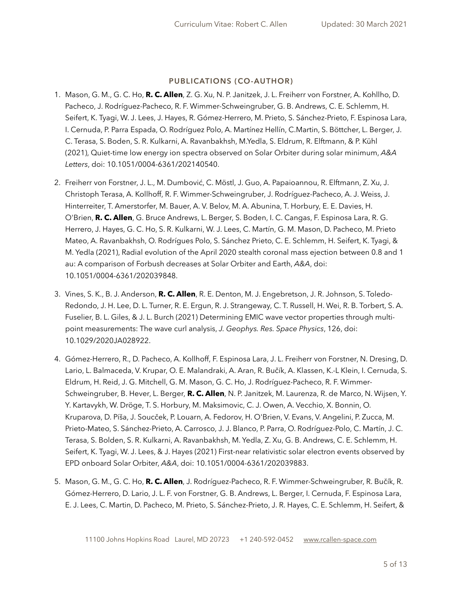## **PUBLICATIONS (CO-AUTHOR)**

- 1. Mason, G. M., G. C. Ho, **R. C. Allen**, Z. G. Xu, N. P. Janitzek, J. L. Freiherr von Forstner, A. Kohllho, D. Pacheco, J. Rodríguez-Pacheco, R. F. Wimmer-Schweingruber, G. B. Andrews, C. E. Schlemm, H. Seifert, K. Tyagi, W. J. Lees, J. Hayes, R. Gómez-Herrero, M. Prieto, S. Sánchez-Prieto, F. Espinosa Lara, I. Cernuda, P. Parra Espada, O. Rodríguez Polo, A. Martínez Hellín, C.Martin, S. Böttcher, L. Berger, J. C. Terasa, S. Boden, S. R. Kulkarni, A. Ravanbakhsh, M.Yedla, S. Eldrum, R. Elftmann, & P. Kühl (2021), Quiet-time low energy ion spectra observed on Solar Orbiter during solar minimum, *A&A Letters*, doi: 10.1051/0004-6361/202140540.
- 2. Freiherr von Forstner, J. L., M. Dumbović, C. Möstl, J. Guo, A. Papaioannou, R. Elftmann, Z. Xu, J. Christoph Terasa, A. Kollhoff, R. F. Wimmer-Schweingruber, J. Rodríguez-Pacheco, A. J. Weiss, J. Hinterreiter, T. Amerstorfer, M. Bauer, A. V. Belov, M. A. Abunina, T. Horbury, E. E. Davies, H. O'Brien, **R. C. Allen**, G. Bruce Andrews, L. Berger, S. Boden, I. C. Cangas, F. Espinosa Lara, R. G. Herrero, J. Hayes, G. C. Ho, S. R. Kulkarni, W. J. Lees, C. Martín, G. M. Mason, D. Pacheco, M. Prieto Mateo, A. Ravanbakhsh, O. Rodrígues Polo, S. Sánchez Prieto, C. E. Schlemm, H. Seifert, K. Tyagi, & M. Yedla (2021), Radial evolution of the April 2020 stealth coronal mass ejection between 0.8 and 1 au: A comparison of Forbush decreases at Solar Orbiter and Earth, *A&A*, doi: 10.1051/0004-6361/202039848.
- 3. Vines, S. K., B. J. Anderson, **R. C. Allen**, R. E. Denton, M. J. Engebretson, J. R. Johnson, S. Toledo-Redondo, J. H. Lee, D. L. Turner, R. E. Ergun, R. J. Strangeway, C. T. Russell, H. Wei, R. B. Torbert, S. A. Fuselier, B. L. Giles, & J. L. Burch (2021) Determining EMIC wave vector properties through multipoint measurements: The wave curl analysis, *J. Geophys. Res. Space Physics*, 126, doi: 10.1029/2020JA028922.
- 4. Gómez-Herrero, R., D. Pacheco, A. Kollhoff, F. Espinosa Lara, J. L. Freiherr von Forstner, N. Dresing, D. Lario, L. Balmaceda, V. Krupar, O. E. Malandraki, A. Aran, R. Bučík, A. Klassen, K.-L Klein, I. Cernuda, S. Eldrum, H. Reid, J. G. Mitchell, G. M. Mason, G. C. Ho, J. Rodríguez-Pacheco, R. F. Wimmer-Schweingruber, B. Hever, L. Berger, **R. C. Allen**, N. P. Janitzek, M. Laurenza, R. de Marco, N. Wijsen, Y. Y. Kartavykh, W. Dröge, T. S. Horbury, M. Maksimovic, C. J. Owen, A. Vecchio, X. Bonnin, O. Kruparova, D. Píša, J. Soucček, P. Louarn, A. Fedorov, H. O'Brien, V. Evans, V. Angelini, P. Zucca, M. Prieto-Mateo, S. Sánchez-Prieto, A. Carrosco, J. J. Blanco, P. Parra, O. Rodríguez-Polo, C. Martín, J. C. Terasa, S. Bolden, S. R. Kulkarni, A. Ravanbakhsh, M. Yedla, Z. Xu, G. B. Andrews, C. E. Schlemm, H. Seifert, K. Tyagi, W. J. Lees, & J. Hayes (2021) First-near relativistic solar electron events observed by EPD onboard Solar Orbiter, *A&A*, doi: 10.1051/0004-6361/202039883.
- 5. Mason, G. M., G. C. Ho, **R. C. Allen**, J. Rodríguez-Pacheco, R. F. Wimmer-Schweingruber, R. Bučík, R. Gómez-Herrero, D. Lario, J. L. F. von Forstner, G. B. Andrews, L. Berger, I. Cernuda, F. Espinosa Lara, E. J. Lees, C. Martin, D. Pacheco, M. Prieto, S. Sánchez-Prieto, J. R. Hayes, C. E. Schlemm, H. Seifert, &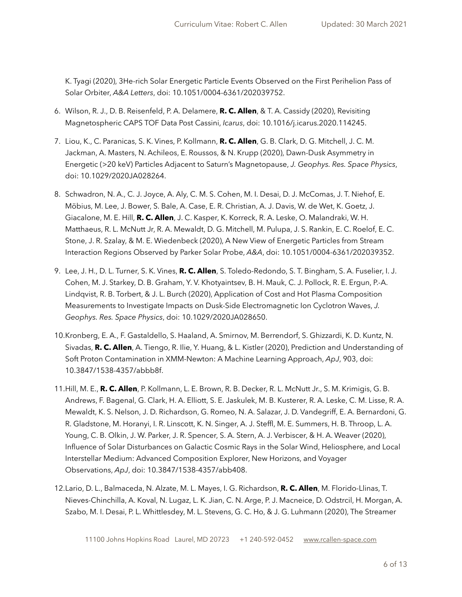K. Tyagi (2020), 3He-rich Solar Energetic Particle Events Observed on the First Perihelion Pass of Solar Orbiter, *A&A Letters*, doi: 10.1051/0004-6361/202039752.

- 6. Wilson, R. J., D. B. Reisenfeld, P. A. Delamere, **R. C. Allen**, & T. A. Cassidy (2020), Revisiting Magnetospheric CAPS TOF Data Post Cassini, *Icarus*, doi: 10.1016/j.icarus.2020.114245.
- 7. Liou, K., C. Paranicas, S. K. Vines, P. Kollmann, **R. C. Allen**, G. B. Clark, D. G. Mitchell, J. C. M. Jackman, A. Masters, N. Achileos, E. Roussos, & N. Krupp (2020), Dawn-Dusk Asymmetry in Energetic (>20 keV) Particles Adjacent to Saturn's Magnetopause, *J. Geophys. Res. Space Physics*, doi: 10.1029/2020JA028264.
- 8. Schwadron, N. A., C. J. Joyce, A. Aly, C. M. S. Cohen, M. I. Desai, D. J. McComas, J. T. Niehof, E. Möbius, M. Lee, J. Bower, S. Bale, A. Case, E. R. Christian, A. J. Davis, W. de Wet, K. Goetz, J. Giacalone, M. E. Hill, **R. C. Allen**, J. C. Kasper, K. Korreck, R. A. Leske, O. Malandraki, W. H. Matthaeus, R. L. McNutt Jr, R. A. Mewaldt, D. G. Mitchell, M. Pulupa, J. S. Rankin, E. C. Roelof, E. C. Stone, J. R. Szalay, & M. E. Wiedenbeck (2020), A New View of Energetic Particles from Stream Interaction Regions Observed by Parker Solar Probe, *A&A*, doi: 10.1051/0004-6361/202039352.
- 9. Lee, J. H., D. L. Turner, S. K. Vines, **R. C. Allen**, S. Toledo-Redondo, S. T. Bingham, S. A. Fuselier, I. J. Cohen, M. J. Starkey, D. B. Graham, Y. V. Khotyaintsev, B. H. Mauk, C. J. Pollock, R. E. Ergun, P.-A. Lindqvist, R. B. Torbert, & J. L. Burch (2020), Application of Cost and Hot Plasma Composition Measurements to Investigate Impacts on Dusk-Side Electromagnetic Ion Cyclotron Waves, *J. Geophys. Res. Space Physics*, doi: 10.1029/2020JA028650.
- 10.Kronberg, E. A., F. Gastaldello, S. Haaland, A. Smirnov, M. Berrendorf, S. Ghizzardi, K. D. Kuntz, N. Sivadas, **R. C. Allen**, A. Tiengo, R. Ilie, Y. Huang, & L. Kistler (2020), Prediction and Understanding of Soft Proton Contamination in XMM-Newton: A Machine Learning Approach, *ApJ*, 903, doi: 10.3847/1538-4357/abbb8f.
- 11.Hill, M. E., **R. C. Allen**, P. Kollmann, L. E. Brown, R. B. Decker, R. L. McNutt Jr., S. M. Krimigis, G. B. Andrews, F. Bagenal, G. Clark, H. A. Elliott, S. E. Jaskulek, M. B. Kusterer, R. A. Leske, C. M. Lisse, R. A. Mewaldt, K. S. Nelson, J. D. Richardson, G. Romeo, N. A. Salazar, J. D. Vandegriff, E. A. Bernardoni, G. R. Gladstone, M. Horanyi, I. R. Linscott, K. N. Singer, A. J. Steffl, M. E. Summers, H. B. Throop, L. A. Young, C. B. Olkin, J. W. Parker, J. R. Spencer, S. A. Stern, A. J. Verbiscer, & H. A. Weaver (2020), Influence of Solar Disturbances on Galactic Cosmic Rays in the Solar Wind, Heliosphere, and Local Interstellar Medium: Advanced Composition Explorer, New Horizons, and Voyager Observations, *ApJ*, doi: 10.3847/1538-4357/abb408.
- 12.Lario, D. L., Balmaceda, N. Alzate, M. L. Mayes, I. G. Richardson, **R. C. Allen**, M. Florido-Llinas, T. Nieves-Chinchilla, A. Koval, N. Lugaz, L. K. Jian, C. N. Arge, P. J. Macneice, D. Odstrcil, H. Morgan, A. Szabo, M. I. Desai, P. L. Whittlesdey, M. L. Stevens, G. C. Ho, & J. G. Luhmann (2020), The Streamer

11100 Johns Hopkins Road Laurel, MD 20723 +1 240-592-0452 [www.rcallen-space.com](http://www.rcallen-space.com)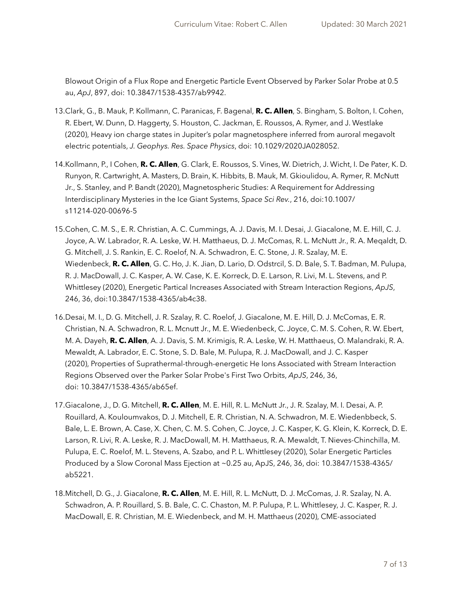Blowout Origin of a Flux Rope and Energetic Particle Event Observed by Parker Solar Probe at 0.5 au, *ApJ*, 897, doi: 10.3847/1538-4357/ab9942.

- 13.Clark, G., B. Mauk, P. Kollmann, C. Paranicas, F. Bagenal, **R. C. Allen**, S. Bingham, S. Bolton, I. Cohen, R. Ebert, W. Dunn, D. Haggerty, S. Houston, C. Jackman, E. Roussos, A. Rymer, and J. Westlake (2020), Heavy ion charge states in Jupiter's polar magnetosphere inferred from auroral megavolt electric potentials, *J. Geophys. Res. Space Physics*, doi: 10.1029/2020JA028052.
- 14.Kollmann, P., I Cohen, **R. C. Allen**, G. Clark, E. Roussos, S. Vines, W. Dietrich, J. Wicht, I. De Pater, K. D. Runyon, R. Cartwright, A. Masters, D. Brain, K. Hibbits, B. Mauk, M. Gkioulidou, A. Rymer, R. McNutt Jr., S. Stanley, and P. Bandt (2020), Magnetospheric Studies: A Requirement for Addressing Interdisciplinary Mysteries in the Ice Giant Systems, *Space Sci Rev.*, 216, doi:10.1007/ s11214-020-00696-5
- 15.Cohen, C. M. S., E. R. Christian, A. C. Cummings, A. J. Davis, M. I. Desai, J. Giacalone, M. E. Hill, C. J. Joyce, A. W. Labrador, R. A. Leske, W. H. Matthaeus, D. J. McComas, R. L. McNutt Jr., R. A. Meqaldt, D. G. Mitchell, J. S. Rankin, E. C. Roelof, N. A. Schwadron, E. C. Stone, J. R. Szalay, M. E. Wiedenbeck, **R. C. Allen**, G. C. Ho, J. K. Jian, D. Lario, D. Odstrcil, S. D. Bale, S. T. Badman, M. Pulupa, R. J. MacDowall, J. C. Kasper, A. W. Case, K. E. Korreck, D. E. Larson, R. Livi, M. L. Stevens, and P. Whittlesey (2020), Energetic Partical Increases Associated with Stream Interaction Regions, *ApJS*, 246, 36, doi:10.3847/1538-4365/ab4c38.
- 16.Desai, M. I., D. G. Mitchell, J. R. Szalay, R. C. Roelof, J. Giacalone, M. E. Hill, D. J. McComas, E. R. Christian, N. A. Schwadron, R. L. Mcnutt Jr., M. E. Wiedenbeck, C. Joyce, C. M. S. Cohen, R. W. Ebert, M. A. Dayeh, **R. C. Allen**, A. J. Davis, S. M. Krimigis, R. A. Leske, W. H. Matthaeus, O. Malandraki, R. A. Mewaldt, A. Labrador, E. C. Stone, S. D. Bale, M. Pulupa, R. J. MacDowall, and J. C. Kasper (2020), Properties of Suprathermal-through-energetic He Ions Associated with Stream Interaction Regions Observed over the Parker Solar Probe's First Two Orbits, *ApJS*, 246, 36, doi: 10.3847/1538-4365/ab65ef.
- 17.Giacalone, J., D. G. Mitchell, **R. C. Allen**, M. E. Hill, R. L. McNutt Jr., J. R. Szalay, M. I. Desai, A. P. Rouillard, A. Kouloumvakos, D. J. Mitchell, E. R. Christian, N. A. Schwadron, M. E. Wiedenbbeck, S. Bale, L. E. Brown, A. Case, X. Chen, C. M. S. Cohen, C. Joyce, J. C. Kasper, K. G. Klein, K. Korreck, D. E. Larson, R. Livi, R. A. Leske, R. J. MacDowall, M. H. Matthaeus, R. A. Mewaldt, T. Nieves-Chinchilla, M. Pulupa, E. C. Roelof, M. L. Stevens, A. Szabo, and P. L. Whittlesey (2020), Solar Energetic Particles Produced by a Slow Coronal Mass Ejection at ~0.25 au, ApJS, 246, 36, doi: 10.3847/1538-4365/ ab5221.
- 18.Mitchell, D. G., J. Giacalone, **R. C. Allen**, M. E. Hill, R. L. McNutt, D. J. McComas, J. R. Szalay, N. A. Schwadron, A. P. Rouillard, S. B. Bale, C. C. Chaston, M. P. Pulupa, P. L. Whittlesey, J. C. Kasper, R. J. MacDowall, E. R. Christian, M. E. Wiedenbeck, and M. H. Matthaeus (2020), CME-associated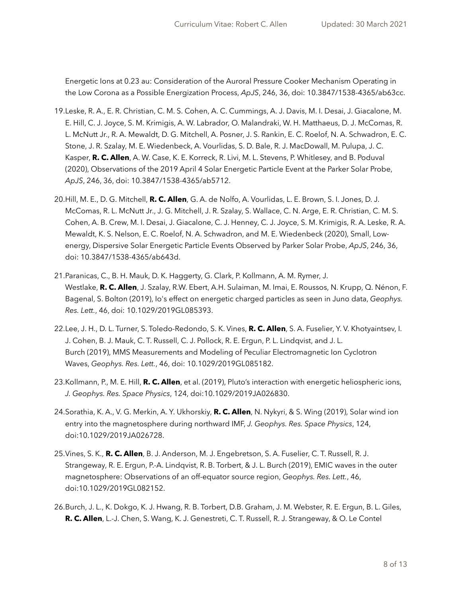Energetic Ions at 0.23 au: Consideration of the Auroral Pressure Cooker Mechanism Operating in the Low Corona as a Possible Energization Process, *ApJS*, 246, 36, doi: 10.3847/1538-4365/ab63cc.

- 19.Leske, R. A., E. R. Christian, C. M. S. Cohen, A. C. Cummings, A. J. Davis, M. I. Desai, J. Giacalone, M. E. Hill, C. J. Joyce, S. M. Krimigis, A. W. Labrador, O. Malandraki, W. H. Matthaeus, D. J. McComas, R. L. McNutt Jr., R. A. Mewaldt, D. G. Mitchell, A. Posner, J. S. Rankin, E. C. Roelof, N. A. Schwadron, E. C. Stone, J. R. Szalay, M. E. Wiedenbeck, A. Vourlidas, S. D. Bale, R. J. MacDowall, M. Pulupa, J. C. Kasper, **R. C. Allen**, A. W. Case, K. E. Korreck, R. Livi, M. L. Stevens, P. Whitlesey, and B. Poduval (2020), Observations of the 2019 April 4 Solar Energetic Particle Event at the Parker Solar Probe, *ApJS*, 246, 36, doi: 10.3847/1538-4365/ab5712.
- 20.Hill, M. E., D. G. Mitchell, **R. C. Allen**, G. A. de Nolfo, A. Vourlidas, L. E. Brown, S. I. Jones, D. J. McComas, R. L. McNutt Jr., J. G. Mitchell, J. R. Szalay, S. Wallace, C. N. Arge, E. R. Christian, C. M. S. Cohen, A. B. Crew, M. I. Desai, J. Giacalone, C. J. Henney, C. J. Joyce, S. M. Krimigis, R. A. Leske, R. A. Mewaldt, K. S. Nelson, E. C. Roelof, N. A. Schwadron, and M. E. Wiedenbeck (2020), Small, Lowenergy, Dispersive Solar Energetic Particle Events Observed by Parker Solar Probe, *ApJS*, 246, 36, doi: 10.3847/1538-4365/ab643d.
- 21.Paranicas, C., B. H. Mauk, D. K. Haggerty, G. Clark, P. Kollmann, A. M. Rymer, J. Westlake, **R. C. Allen**, J. Szalay, R.W. Ebert, A.H. Sulaiman, M. Imai, E. Roussos, N. Krupp, Q. Nénon, F. Bagenal, S. Bolton (2019), Io's effect on energetic charged particles as seen in Juno data, *Geophys. Res. Lett.*, 46, doi: 10.1029/2019GL085393.
- 22.Lee, J. H., D. L. Turner, S. Toledo-Redondo, S. K. Vines, **R. C. Allen**, S. A. Fuselier, Y. V. Khotyaintsev, I. J. Cohen, B. J. Mauk, C. T. Russell, C. J. Pollock, R. E. Ergun, P. L. Lindqvist, and J. L. Burch (2019), MMS Measurements and Modeling of Peculiar Electromagnetic Ion Cyclotron Waves, *Geophys. Res. Lett.*, 46, doi: 10.1029/2019GL085182.
- 23.Kollmann, P., M. E. Hill, **R. C. Allen**, et al. (2019), Pluto's interaction with energetic heliospheric ions, *J. Geophys. Res. Space Physics*, 124, doi:10.1029/2019JA026830.
- 24.Sorathia, K. A., V. G. Merkin, A. Y. Ukhorskiy, **R. C. Allen**, N. Nykyri, & S. Wing (2019), Solar wind ion entry into the magnetosphere during northward IMF, *J. Geophys. Res. Space Physics*, 124, doi:10.1029/2019JA026728.
- 25.Vines, S. K., **R. C. Allen**, B. J. Anderson, M. J. Engebretson, S. A. Fuselier, C. T. Russell, R. J. Strangeway, R. E. Ergun, P.-A. Lindqvist, R. B. Torbert, & J. L. Burch (2019), EMIC waves in the outer magnetosphere: Observations of an off-equator source region, *Geophys. Res. Lett.*, 46, doi:10.1029/2019GL082152.
- 26.Burch, J. L., K. Dokgo, K. J. Hwang, R. B. Torbert, D.B. Graham, J. M. Webster, R. E. Ergun, B. L. Giles, **R. C. Allen**, L.-J. Chen, S. Wang, K. J. Genestreti, C. T. Russell, R. J. Strangeway, & O. Le Contel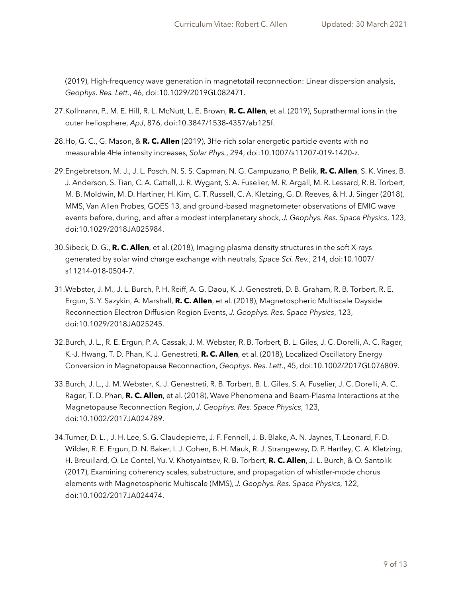(2019), High-frequency wave generation in magnetotail reconnection: Linear dispersion analysis, *Geophys. Res. Lett.*, 46, doi:10.1029/2019GL082471.

- 27.Kollmann, P., M. E. Hill, R. L. McNutt, L. E. Brown, **R. C. Allen**, et al. (2019), Suprathermal ions in the outer heliosphere, *ApJ*, 876, doi:10.3847/1538-4357/ab125f.
- 28.Ho, G. C., G. Mason, & **R. C. Allen** (2019), 3He-rich solar energetic particle events with no measurable 4He intensity increases, *Solar Phys.*, 294, doi:10.1007/s11207-019-1420-z.
- 29.Engebretson, M. J., J. L. Posch, N. S. S. Capman, N. G. Campuzano, P. Belik, **R. C. Allen**, S. K. Vines, B. J. Anderson, S. Tian, C. A. Cattell, J. R. Wygant, S. A. Fuselier, M. R. Argall, M. R. Lessard, R. B. Torbert, M. B. Moldwin, M. D. Hartiner, H. Kim, C. T. Russell, C. A. Kletzing, G. D. Reeves, & H. J. Singer (2018), MMS, Van Allen Probes, GOES 13, and ground-based magnetometer observations of EMIC wave events before, during, and after a modest interplanetary shock, *J. Geophys. Res. Space Physics*, 123, doi:10.1029/2018JA025984.
- 30.Sibeck, D. G., **R. C. Allen**, et al. (2018), Imaging plasma density structures in the soft X-rays generated by solar wind charge exchange with neutrals, *Space Sci. Rev.*, 214, doi:10.1007/ s11214-018-0504-7.
- 31.Webster, J. M., J. L. Burch, P. H. Reiff, A. G. Daou, K. J. Genestreti, D. B. Graham, R. B. Torbert, R. E. Ergun, S. Y. Sazykin, A. Marshall, **R. C. Allen**, et al. (2018), Magnetospheric Multiscale Dayside Reconnection Electron Diffusion Region Events, *J. Geophys. Res. Space Physics*, 123, doi:10.1029/2018JA025245.
- 32.Burch, J. L., R. E. Ergun, P. A. Cassak, J. M. Webster, R. B. Torbert, B. L. Giles, J. C. Dorelli, A. C. Rager, K.-J. Hwang, T. D. Phan, K. J. Genestreti, **R. C. Allen**, et al. (2018), Localized Oscillatory Energy Conversion in Magnetopause Reconnection, *Geophys. Res. Lett.*, 45, doi:10.1002/2017GL076809.
- 33.Burch, J. L., J. M. Webster, K. J. Genestreti, R. B. Torbert, B. L. Giles, S. A. Fuselier, J. C. Dorelli, A. C. Rager, T. D. Phan, **R. C. Allen**, et al. (2018), Wave Phenomena and Beam-Plasma Interactions at the Magnetopause Reconnection Region, *J. Geophys. Res. Space Physics*, 123, doi:10.1002/2017JA024789.
- 34.Turner, D. L. , J. H. Lee, S. G. Claudepierre, J. F. Fennell, J. B. Blake, A. N. Jaynes, T. Leonard, F. D. Wilder, R. E. Ergun, D. N. Baker, I. J. Cohen, B. H. Mauk, R. J. Strangeway, D. P. Hartley, C. A. Kletzing, H. Breuillard, O. Le Contel, Yu. V. Khotyaintsev, R. B. Torbert, **R. C. Allen**, J. L. Burch, & O. Santolik (2017), Examining coherency scales, substructure, and propagation of whistler-mode chorus elements with Magnetospheric Multiscale (MMS), *J. Geophys. Res. Space Physics*, 122, doi:10.1002/2017JA024474.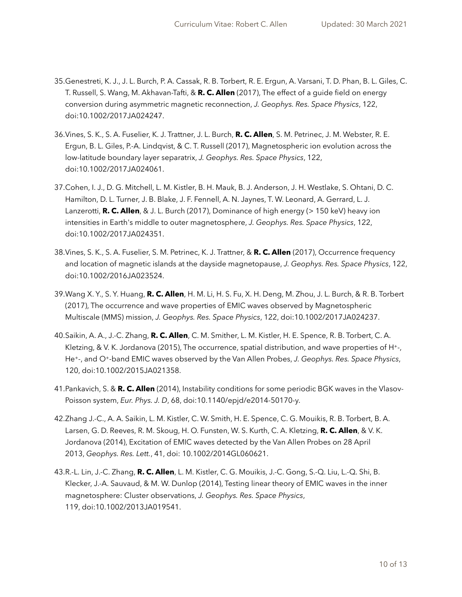- 35.Genestreti, K. J., J. L. Burch, P. A. Cassak, R. B. Torbert, R. E. Ergun, A. Varsani, T. D. Phan, B. L. Giles, C. T. Russell, S. Wang, M. Akhavan-Tafti, & **R. C. Allen** (2017), The effect of a guide field on energy conversion during asymmetric magnetic reconnection, *J. Geophys. Res. Space Physics*, 122, doi:10.1002/2017JA024247.
- 36.Vines, S. K., S. A. Fuselier, K. J. Trattner, J. L. Burch, **R. C. Allen**, S. M. Petrinec, J. M. Webster, R. E. Ergun, B. L. Giles, P.-A. Lindqvist, & C. T. Russell (2017), Magnetospheric ion evolution across the low-latitude boundary layer separatrix, *J. Geophys. Res. Space Physics*, 122, doi:10.1002/2017JA024061.
- 37.Cohen, I. J., D. G. Mitchell, L. M. Kistler, B. H. Mauk, B. J. Anderson, J. H. Westlake, S. Ohtani, D. C. Hamilton, D. L. Turner, J. B. Blake, J. F. Fennell, A. N. Jaynes, T. W. Leonard, A. Gerrard, L. J. Lanzerotti, **R. C. Allen**, & J. L. Burch (2017), Dominance of high energy (> 150 keV) heavy ion intensities in Earth's middle to outer magnetosphere, *J. Geophys. Res. Space Physics*, 122, doi:10.1002/2017JA024351.
- 38.Vines, S. K., S. A. Fuselier, S. M. Petrinec, K. J. Trattner, & **R. C. Allen** (2017), Occurrence frequency and location of magnetic islands at the dayside magnetopause, *J. Geophys. Res. Space Physics*, 122, doi:10.1002/2016JA023524.
- 39.Wang X. Y., S. Y. Huang, **R. C. Allen**, H. M. Li, H. S. Fu, X. H. Deng, M. Zhou, J. L. Burch, & R. B. Torbert (2017), The occurrence and wave properties of EMIC waves observed by Magnetospheric Multiscale (MMS) mission, *J. Geophys. Res. Space Physics*, 122, doi:10.1002/2017JA024237.
- 40.Saikin, A. A., J.-C. Zhang, **R. C. Allen**, C. M. Smither, L. M. Kistler, H. E. Spence, R. B. Torbert, C. A. Kletzing, & V. K. Jordanova (2015), The occurrence, spatial distribution, and wave properties of H<sup>+-</sup>, He+-, and O+-band EMIC waves observed by the Van Allen Probes, *J. Geophys. Res. Space Physics*, 120, doi:10.1002/2015JA021358.
- 41.Pankavich, S. & **R. C. Allen** (2014), Instability conditions for some periodic BGK waves in the Vlasov-Poisson system, *Eur. Phys. J. D*, 68, doi:10.1140/epjd/e2014-50170-y.
- 42.Zhang J.-C., A. A. Saikin, L. M. Kistler, C. W. Smith, H. E. Spence, C. G. Mouikis, R. B. Torbert, B. A. Larsen, G. D. Reeves, R. M. Skoug, H. O. Funsten, W. S. Kurth, C. A. Kletzing, **R. C. Allen**, & V. K. Jordanova (2014), Excitation of EMIC waves detected by the Van Allen Probes on 28 April 2013, *Geophys. Res. Lett.*, 41, doi: 10.1002/2014GL060621.
- 43.R.-L. Lin, J.-C. Zhang, **R. C. Allen**, L. M. Kistler, C. G. Mouikis, J.-C. Gong, S.-Q. Liu, L.-Q. Shi, B. Klecker, J.-A. Sauvaud, & M. W. Dunlop (2014), Testing linear theory of EMIC waves in the inner magnetosphere: Cluster observations, *J. Geophys. Res. Space Physics*, 119, doi:10.1002/2013JA019541.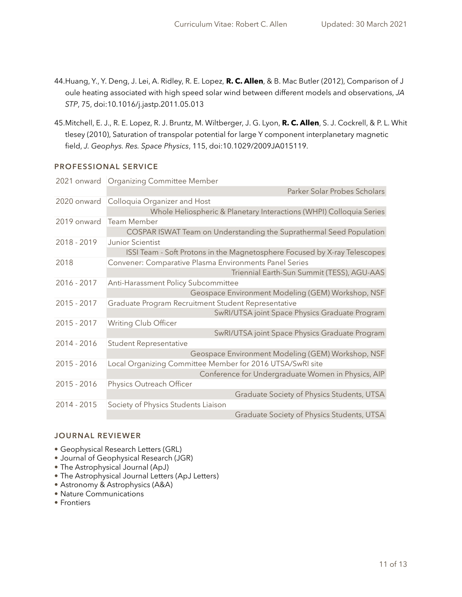- 44.Huang, Y., Y. Deng, J. Lei, A. Ridley, R. E. Lopez, **R. C. Allen**, & B. Mac Butler (2012), Comparison of J oule heating associated with high speed solar wind between different models and observations, *JA STP*, 75, doi:10.1016/j.jastp.2011.05.013
- 45.Mitchell, E. J., R. E. Lopez, R. J. Bruntz, M. Wiltberger, J. G. Lyon, **R. C. Allen**, S. J. Cockrell, & P. L. Whit tlesey (2010), Saturation of transpolar potential for large Y component interplanetary magnetic field, *J. Geophys. Res. Space Physics*, 115, doi:10.1029/2009JA015119.

## **PROFESSIONAL SERVICE**

|               | 2021 onward   Organizing Committee Member                                 |  |  |
|---------------|---------------------------------------------------------------------------|--|--|
|               | Parker Solar Probes Scholars                                              |  |  |
| 2020 onward   | Colloquia Organizer and Host                                              |  |  |
|               | Whole Heliospheric & Planetary Interactions (WHPI) Colloquia Series       |  |  |
| 2019 onward   | Team Member                                                               |  |  |
|               | COSPAR ISWAT Team on Understanding the Suprathermal Seed Population       |  |  |
| 2018 - 2019   | <b>Junior Scientist</b>                                                   |  |  |
|               | ISSI Team - Soft Protons in the Magnetosphere Focused by X-ray Telescopes |  |  |
| 2018          | Convener: Comparative Plasma Environments Panel Series                    |  |  |
|               | Triennial Earth-Sun Summit (TESS), AGU-AAS                                |  |  |
| 2016 - 2017   | Anti-Harassment Policy Subcommittee                                       |  |  |
|               | Geospace Environment Modeling (GEM) Workshop, NSF                         |  |  |
| $2015 - 2017$ | Graduate Program Recruitment Student Representative                       |  |  |
|               | SwRI/UTSA joint Space Physics Graduate Program                            |  |  |
| $2015 - 2017$ | Writing Club Officer                                                      |  |  |
|               | SwRI/UTSA joint Space Physics Graduate Program                            |  |  |
| 2014 - 2016   | <b>Student Representative</b>                                             |  |  |
|               | Geospace Environment Modeling (GEM) Workshop, NSF                         |  |  |
| 2015 - 2016   | Local Organizing Committee Member for 2016 UTSA/SwRI site                 |  |  |
|               | Conference for Undergraduate Women in Physics, AIP                        |  |  |
| 2015 - 2016   | Physics Outreach Officer                                                  |  |  |
|               | Graduate Society of Physics Students, UTSA                                |  |  |
| 2014 - 2015   | Society of Physics Students Liaison                                       |  |  |
|               | Graduate Society of Physics Students, UTSA                                |  |  |

## **JOURNAL REVIEWER**

- Geophysical Research Letters (GRL)
- Journal of Geophysical Research (JGR)
- The Astrophysical Journal (ApJ)
- The Astrophysical Journal Letters (ApJ Letters)
- Astronomy & Astrophysics (A&A)
- Nature Communications
- Frontiers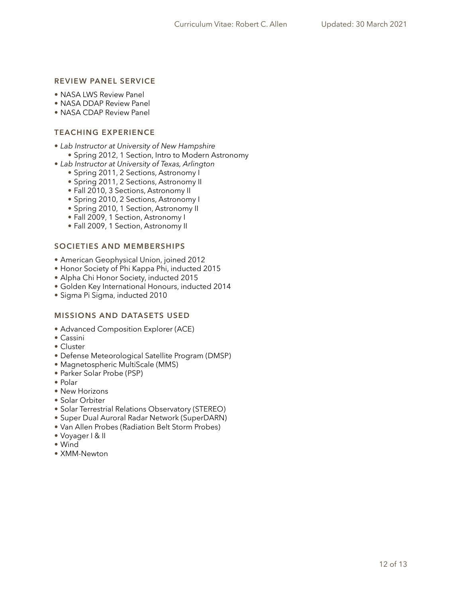## **REVIEW PANEL SERVICE**

- NASA LWS Review Panel
- NASA DDAP Review Panel
- NASA CDAP Review Panel

## **TEACHING EXPERIENCE**

- *• Lab Instructor at University of New Hampshire* 
	- Spring 2012, 1 Section, Intro to Modern Astronomy
- *• Lab Instructor at University of Texas, Arlington* 
	- Spring 2011, 2 Sections, Astronomy I
	- Spring 2011, 2 Sections, Astronomy II
	- Fall 2010, 3 Sections, Astronomy II
	- Spring 2010, 2 Sections, Astronomy I
	- Spring 2010, 1 Section, Astronomy II
	- Fall 2009, 1 Section, Astronomy I
	- Fall 2009, 1 Section, Astronomy II

## **SOCIETIES AND MEMBERSHIPS**

- American Geophysical Union, joined 2012
- Honor Society of Phi Kappa Phi, inducted 2015
- Alpha Chi Honor Society, inducted 2015
- Golden Key International Honours, inducted 2014
- Sigma Pi Sigma, inducted 2010

#### **MISSIONS AND DATASETS USED**

- Advanced Composition Explorer (ACE)
- Cassini
- Cluster
- Defense Meteorological Satellite Program (DMSP)
- Magnetospheric MultiScale (MMS)
- Parker Solar Probe (PSP)
- Polar
- New Horizons
- Solar Orbiter
- Solar Terrestrial Relations Observatory (STEREO)
- Super Dual Auroral Radar Network (SuperDARN)
- Van Allen Probes (Radiation Belt Storm Probes)
- Voyager I & II
- Wind
- XMM-Newton